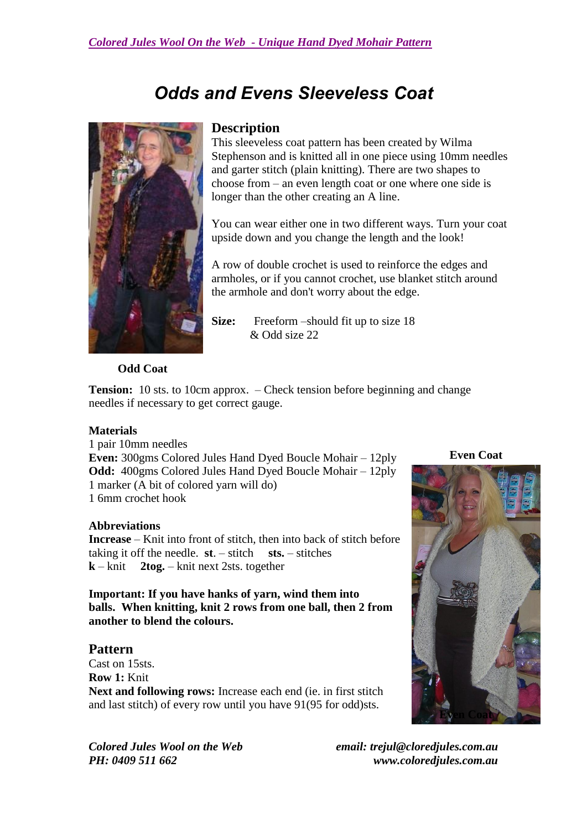# *Odds and Evens Sleeveless Coat*



### **Description**

This sleeveless coat pattern has been created by Wilma Stephenson and is knitted all in one piece using 10mm needles and garter stitch (plain knitting). There are two shapes to choose from – an even length coat or one where one side is longer than the other creating an A line.

You can wear either one in two different ways. Turn your coat upside down and you change the length and the look!

A row of double crochet is used to reinforce the edges and armholes, or if you cannot crochet, use blanket stitch around the armhole and don't worry about the edge.

**Size:** Freeform –should fit up to size 18 & Odd size 22

**Odd Coat**

**Tension:** 10 sts. to 10cm approx. – Check tension before beginning and change needles if necessary to get correct gauge.

#### **Materials**

1 pair 10mm needles **Even:** 300gms Colored Jules Hand Dyed Boucle Mohair – 12ply **Odd:** 400gms Colored Jules Hand Dyed Boucle Mohair – 12ply 1 marker (A bit of colored yarn will do) 1 6mm crochet hook

#### **Abbreviations**

**Increase** – Knit into front of stitch, then into back of stitch before taking it off the needle.  $st. - stitch$  sts. – stitches **k** – knit **2tog.** – knit next 2sts. together

**Important: If you have hanks of yarn, wind them into balls. When knitting, knit 2 rows from one ball, then 2 from another to blend the colours.**

#### **Pattern**

Cast on 15sts. **Row 1:** Knit **Next and following rows:** Increase each end (ie. in first stitch and last stitch) of every row until you have 91(95 for odd)sts.

**Even Coat**



*Colored Jules Wool on the Web email: trejul@cloredjules.com.au PH: 0409 511 662 www.coloredjules.com.au*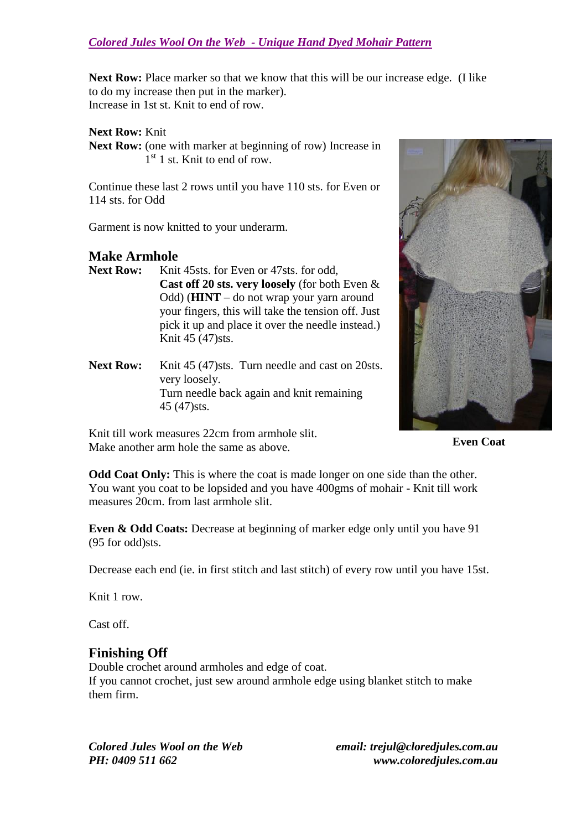**Next Row:** Place marker so that we know that this will be our increase edge. (I like to do my increase then put in the marker). Increase in 1st st. Knit to end of row.

**Next Row:** Knit

Next Row: (one with marker at beginning of row) Increase in 1<sup>st</sup> 1 st. Knit to end of row.

Continue these last 2 rows until you have 110 sts. for Even or 114 sts. for Odd

Garment is now knitted to your underarm.

# **Make Armhole**<br>**Next Row:** Knit

- Knit 45sts. for Even or 47sts. for odd. **Cast off 20 sts. very loosely** (for both Even & Odd) (**HINT** – do not wrap your yarn around your fingers, this will take the tension off. Just pick it up and place it over the needle instead.) Knit 45 (47)sts.
- Next Row: Knit 45 (47)sts. Turn needle and cast on 20sts. very loosely. Turn needle back again and knit remaining 45 (47)sts.

Knit till work measures 22cm from armhole slit. Make another arm hole the same as above.



**Even Coat**

**Odd Coat Only:** This is where the coat is made longer on one side than the other. You want you coat to be lopsided and you have 400gms of mohair - Knit till work measures 20cm. from last armhole slit.

**Even & Odd Coats:** Decrease at beginning of marker edge only until you have 91 (95 for odd)sts.

Decrease each end (ie. in first stitch and last stitch) of every row until you have 15st.

Knit 1 row.

Cast off.

## **Finishing Off**

Double crochet around armholes and edge of coat. If you cannot crochet, just sew around armhole edge using blanket stitch to make them firm.

*Colored Jules Wool on the Web email: trejul@cloredjules.com.au PH: 0409 511 662 www.coloredjules.com.au*